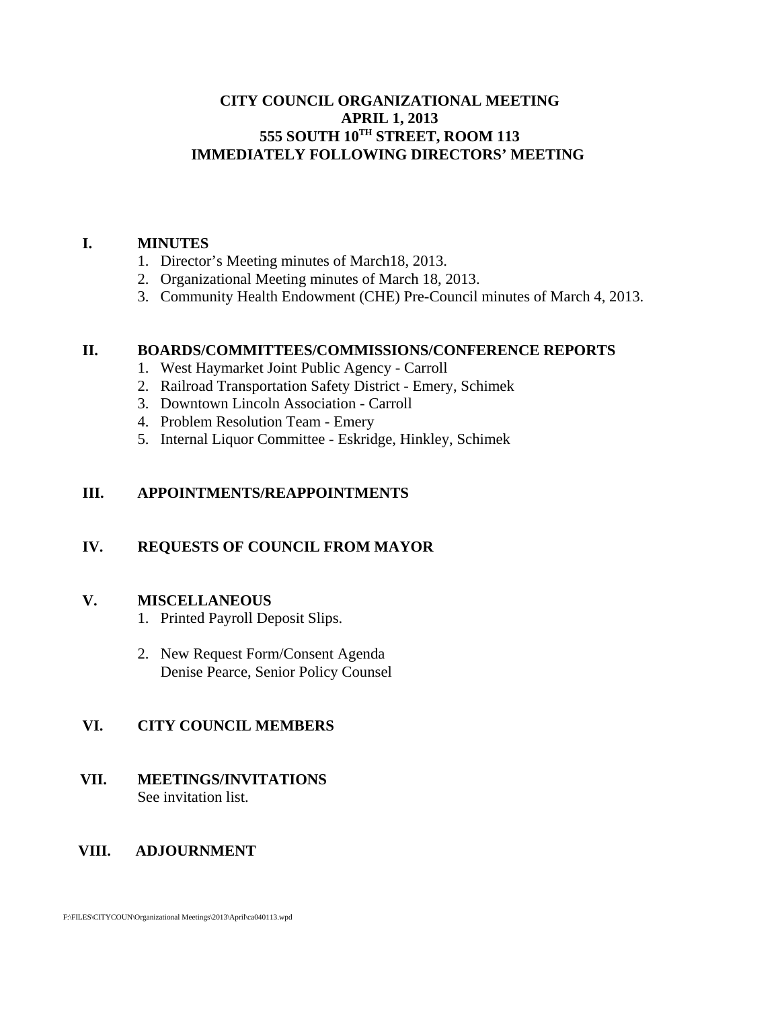### **CITY COUNCIL ORGANIZATIONAL MEETING APRIL 1, 2013 555 SOUTH 10TH STREET, ROOM 113 IMMEDIATELY FOLLOWING DIRECTORS' MEETING**

#### **I. MINUTES**

- 1. Director's Meeting minutes of March18, 2013.
- 2. Organizational Meeting minutes of March 18, 2013.
- 3. Community Health Endowment (CHE) Pre-Council minutes of March 4, 2013.

### **II. BOARDS/COMMITTEES/COMMISSIONS/CONFERENCE REPORTS**

- 1. West Haymarket Joint Public Agency Carroll
- 2. Railroad Transportation Safety District Emery, Schimek
- 3. Downtown Lincoln Association Carroll
- 4. Problem Resolution Team Emery
- 5. Internal Liquor Committee Eskridge, Hinkley, Schimek

### **III. APPOINTMENTS/REAPPOINTMENTS**

## **IV. REQUESTS OF COUNCIL FROM MAYOR**

### **V. MISCELLANEOUS**

- 1. Printed Payroll Deposit Slips.
- 2. New Request Form/Consent Agenda Denise Pearce, Senior Policy Counsel

### **VI. CITY COUNCIL MEMBERS**

 **VII. MEETINGS/INVITATIONS** See invitation list.

### **VIII. ADJOURNMENT**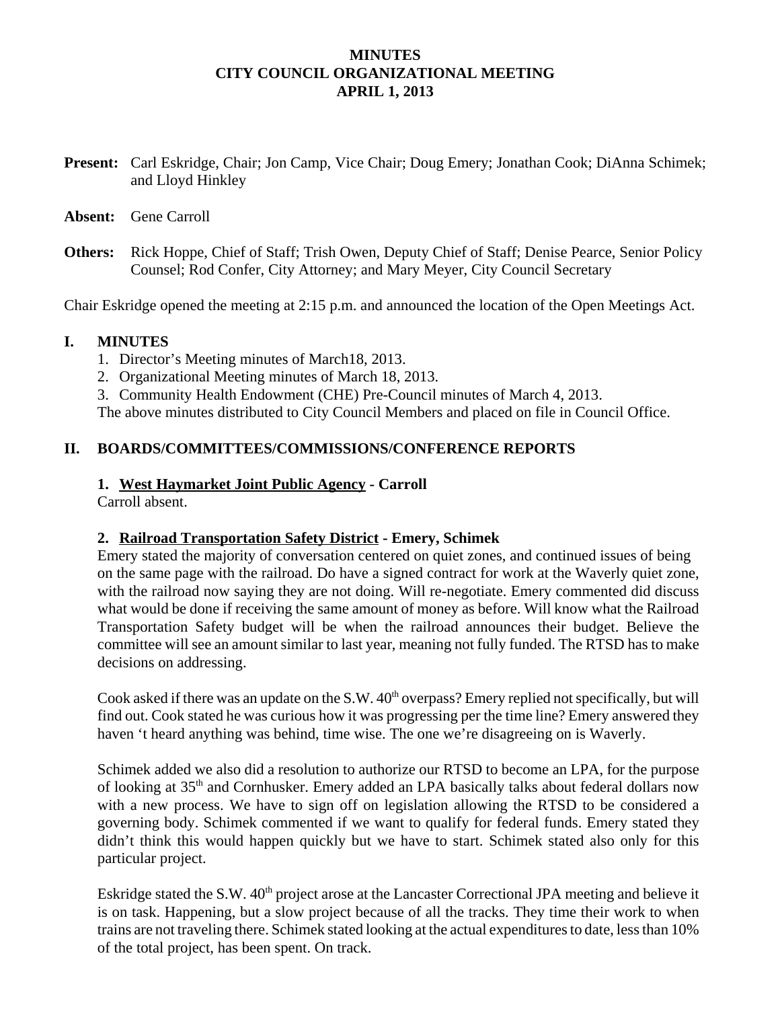### **MINUTES CITY COUNCIL ORGANIZATIONAL MEETING APRIL 1, 2013**

- **Present:** Carl Eskridge, Chair; Jon Camp, Vice Chair; Doug Emery; Jonathan Cook; DiAnna Schimek; and Lloyd Hinkley
- **Absent:** Gene Carroll
- **Others:** Rick Hoppe, Chief of Staff; Trish Owen, Deputy Chief of Staff; Denise Pearce, Senior Policy Counsel; Rod Confer, City Attorney; and Mary Meyer, City Council Secretary

Chair Eskridge opened the meeting at 2:15 p.m. and announced the location of the Open Meetings Act.

#### **I. MINUTES**

- 1. Director's Meeting minutes of March18, 2013.
- 2. Organizational Meeting minutes of March 18, 2013.
- 3. Community Health Endowment (CHE) Pre-Council minutes of March 4, 2013.

The above minutes distributed to City Council Members and placed on file in Council Office.

### **II. BOARDS/COMMITTEES/COMMISSIONS/CONFERENCE REPORTS**

#### **1. West Haymarket Joint Public Agency - Carroll**

Carroll absent.

### **2. Railroad Transportation Safety District - Emery, Schimek**

Emery stated the majority of conversation centered on quiet zones, and continued issues of being on the same page with the railroad. Do have a signed contract for work at the Waverly quiet zone, with the railroad now saying they are not doing. Will re-negotiate. Emery commented did discuss what would be done if receiving the same amount of money as before. Will know what the Railroad Transportation Safety budget will be when the railroad announces their budget. Believe the committee will see an amount similar to last year, meaning not fully funded. The RTSD has to make decisions on addressing.

Cook asked if there was an update on the S.W.  $40<sup>th</sup>$  overpass? Emery replied not specifically, but will find out. Cook stated he was curious how it was progressing per the time line? Emery answered they haven 't heard anything was behind, time wise. The one we're disagreeing on is Waverly.

Schimek added we also did a resolution to authorize our RTSD to become an LPA, for the purpose of looking at 35th and Cornhusker. Emery added an LPA basically talks about federal dollars now with a new process. We have to sign off on legislation allowing the RTSD to be considered a governing body. Schimek commented if we want to qualify for federal funds. Emery stated they didn't think this would happen quickly but we have to start. Schimek stated also only for this particular project.

Eskridge stated the S.W. 40<sup>th</sup> project arose at the Lancaster Correctional JPA meeting and believe it is on task. Happening, but a slow project because of all the tracks. They time their work to when trains are not traveling there. Schimek stated looking at the actual expenditures to date, less than 10% of the total project, has been spent. On track.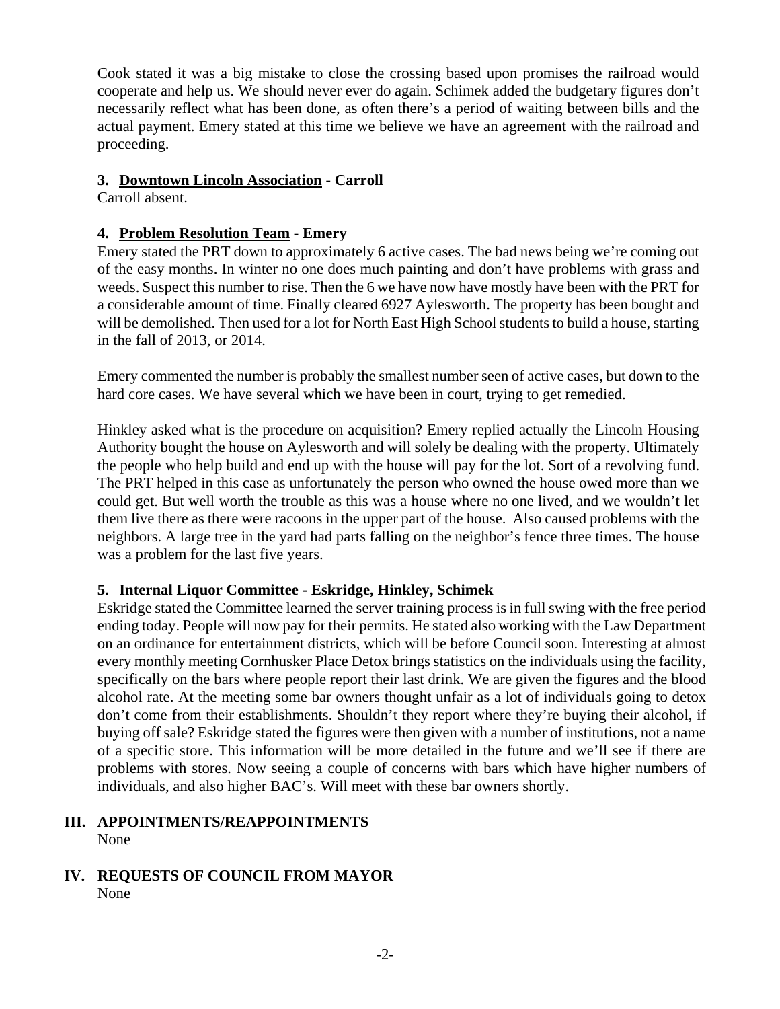Cook stated it was a big mistake to close the crossing based upon promises the railroad would cooperate and help us. We should never ever do again. Schimek added the budgetary figures don't necessarily reflect what has been done, as often there's a period of waiting between bills and the actual payment. Emery stated at this time we believe we have an agreement with the railroad and proceeding.

## **3. Downtown Lincoln Association - Carroll**

Carroll absent.

# **4. Problem Resolution Team - Emery**

Emery stated the PRT down to approximately 6 active cases. The bad news being we're coming out of the easy months. In winter no one does much painting and don't have problems with grass and weeds. Suspect this number to rise. Then the 6 we have now have mostly have been with the PRT for a considerable amount of time. Finally cleared 6927 Aylesworth. The property has been bought and will be demolished. Then used for a lot for North East High School students to build a house, starting in the fall of 2013, or 2014.

Emery commented the number is probably the smallest number seen of active cases, but down to the hard core cases. We have several which we have been in court, trying to get remedied.

Hinkley asked what is the procedure on acquisition? Emery replied actually the Lincoln Housing Authority bought the house on Aylesworth and will solely be dealing with the property. Ultimately the people who help build and end up with the house will pay for the lot. Sort of a revolving fund. The PRT helped in this case as unfortunately the person who owned the house owed more than we could get. But well worth the trouble as this was a house where no one lived, and we wouldn't let them live there as there were racoons in the upper part of the house. Also caused problems with the neighbors. A large tree in the yard had parts falling on the neighbor's fence three times. The house was a problem for the last five years.

# **5. Internal Liquor Committee - Eskridge, Hinkley, Schimek**

Eskridge stated the Committee learned the server training process is in full swing with the free period ending today. People will now pay for their permits. He stated also working with the Law Department on an ordinance for entertainment districts, which will be before Council soon. Interesting at almost every monthly meeting Cornhusker Place Detox brings statistics on the individuals using the facility, specifically on the bars where people report their last drink. We are given the figures and the blood alcohol rate. At the meeting some bar owners thought unfair as a lot of individuals going to detox don't come from their establishments. Shouldn't they report where they're buying their alcohol, if buying off sale? Eskridge stated the figures were then given with a number of institutions, not a name of a specific store. This information will be more detailed in the future and we'll see if there are problems with stores. Now seeing a couple of concerns with bars which have higher numbers of individuals, and also higher BAC's. Will meet with these bar owners shortly.

### **III. APPOINTMENTS/REAPPOINTMENTS** None

# **IV. REQUESTS OF COUNCIL FROM MAYOR** None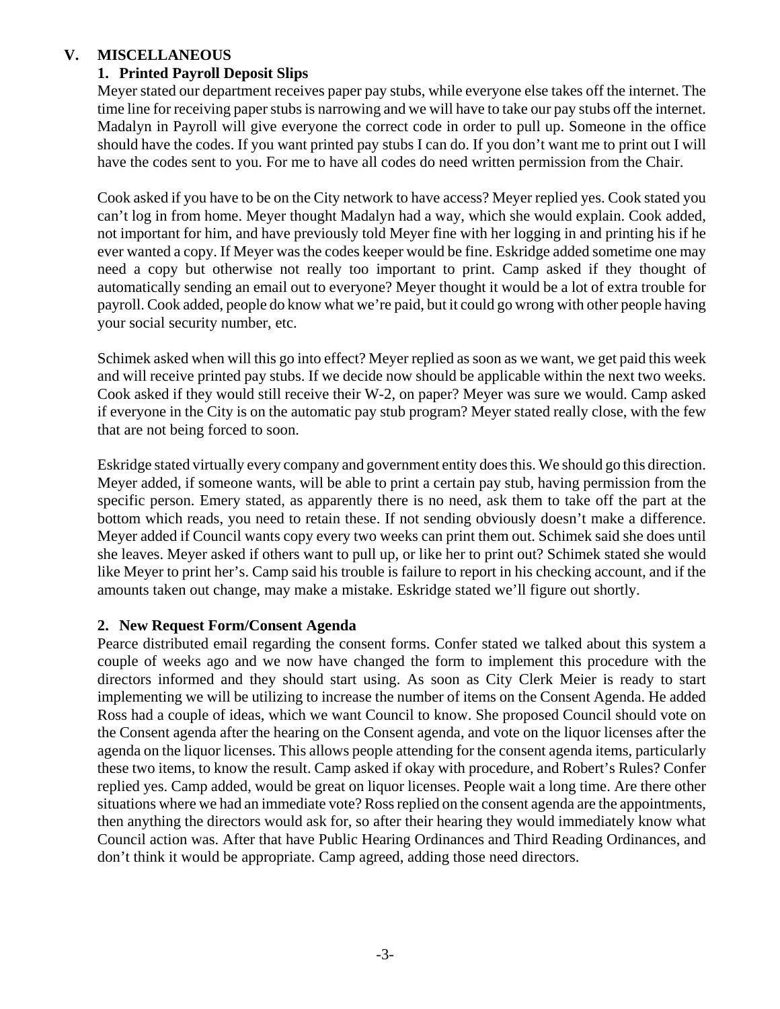## **V. MISCELLANEOUS**

# **1. Printed Payroll Deposit Slips**

Meyer stated our department receives paper pay stubs, while everyone else takes off the internet. The time line for receiving paper stubs is narrowing and we will have to take our pay stubs off the internet. Madalyn in Payroll will give everyone the correct code in order to pull up. Someone in the office should have the codes. If you want printed pay stubs I can do. If you don't want me to print out I will have the codes sent to you. For me to have all codes do need written permission from the Chair.

Cook asked if you have to be on the City network to have access? Meyer replied yes. Cook stated you can't log in from home. Meyer thought Madalyn had a way, which she would explain. Cook added, not important for him, and have previously told Meyer fine with her logging in and printing his if he ever wanted a copy. If Meyer was the codes keeper would be fine. Eskridge added sometime one may need a copy but otherwise not really too important to print. Camp asked if they thought of automatically sending an email out to everyone? Meyer thought it would be a lot of extra trouble for payroll. Cook added, people do know what we're paid, but it could go wrong with other people having your social security number, etc.

Schimek asked when will this go into effect? Meyer replied as soon as we want, we get paid this week and will receive printed pay stubs. If we decide now should be applicable within the next two weeks. Cook asked if they would still receive their W-2, on paper? Meyer was sure we would. Camp asked if everyone in the City is on the automatic pay stub program? Meyer stated really close, with the few that are not being forced to soon.

Eskridge stated virtually every company and government entity does this. We should go this direction. Meyer added, if someone wants, will be able to print a certain pay stub, having permission from the specific person. Emery stated, as apparently there is no need, ask them to take off the part at the bottom which reads, you need to retain these. If not sending obviously doesn't make a difference. Meyer added if Council wants copy every two weeks can print them out. Schimek said she does until she leaves. Meyer asked if others want to pull up, or like her to print out? Schimek stated she would like Meyer to print her's. Camp said his trouble is failure to report in his checking account, and if the amounts taken out change, may make a mistake. Eskridge stated we'll figure out shortly.

## **2. New Request Form/Consent Agenda**

Pearce distributed email regarding the consent forms. Confer stated we talked about this system a couple of weeks ago and we now have changed the form to implement this procedure with the directors informed and they should start using. As soon as City Clerk Meier is ready to start implementing we will be utilizing to increase the number of items on the Consent Agenda. He added Ross had a couple of ideas, which we want Council to know. She proposed Council should vote on the Consent agenda after the hearing on the Consent agenda, and vote on the liquor licenses after the agenda on the liquor licenses. This allows people attending for the consent agenda items, particularly these two items, to know the result. Camp asked if okay with procedure, and Robert's Rules? Confer replied yes. Camp added, would be great on liquor licenses. People wait a long time. Are there other situations where we had an immediate vote? Ross replied on the consent agenda are the appointments, then anything the directors would ask for, so after their hearing they would immediately know what Council action was. After that have Public Hearing Ordinances and Third Reading Ordinances, and don't think it would be appropriate. Camp agreed, adding those need directors.